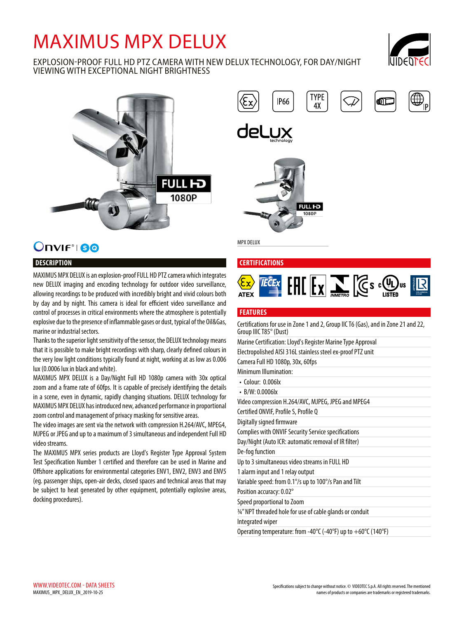# MAXIMUS MPX DELUX

# EXPLOSION-PROOF FULL HD PTZ CAMERA WITH NEW DELUX TECHNOLOGY, FOR DAY/NIGHT VIEWING WITH EXCEPTIONAL NIGHT BRIGHTNESS





# Onvir<sup>®</sup> 80

# **DESCRIPTION**

MAXIMUS MPX DELUX is an explosion-proof FULL HD PTZ camera which integrates new DELUX imaging and encoding technology for outdoor video surveillance, allowing recordings to be produced with incredibly bright and vivid colours both by day and by night. This camera is ideal for efficient video surveillance and control of processes in critical environments where the atmosphere is potentially explosive due to the presence of inflammable gases or dust, typical of the Oil&Gas, marine or industrial sectors.

Thanks to the superior light sensitivity of the sensor, the DELUX technology means that it is possible to make bright recordings with sharp, clearly defined colours in the very low light conditions typically found at night, working at as low as 0.006 lux (0.0006 lux in black and white).

MAXIMUS MPX DELUX is a Day/Night Full HD 1080p camera with 30x optical zoom and a frame rate of 60fps. It is capable of precisely identifying the details in a scene, even in dynamic, rapidly changing situations. DELUX technology for MAXIMUS MPX DELUX has introduced new, advanced performance in proportional zoom control and management of privacy masking for sensitive areas.

The video images are sent via the network with compression H.264/AVC, MPEG4, MJPEG or JPEG and up to a maximum of 3 simultaneous and independent Full HD video streams.

The MAXIMUS MPX series products are Lloyd's Register Type Approval System Test Specification Number 1 certified and therefore can be used in Marine and Offshore applications for environmental categories ENV1, ENV2, ENV3 and ENV5 (eg. passenger ships, open-air decks, closed spaces and technical areas that may be subject to heat generated by other equipment, potentially explosive areas, docking procedures).

**TYPE IP66** оП  $4X$ 



MPX DELUX

#### **CERTIFICATIONS**



#### **FEATURES**

Certifications for use in Zone 1 and 2, Group IIC T6 (Gas), and in Zone 21 and 22, Group IIIC T85° (Dust) Marine Certification: Lloyd's Register Marine Type Approval Electropolished AISI 316L stainless steel ex-proof PTZ unit Camera Full HD 1080p, 30x, 60fps Minimum Illumination: • Colour: 0.006lx • B/W: 0.0006lx Video compression H.264/AVC, MJPEG, JPEG and MPEG4 Certified ONVIF, Profile S, Profile Q Digitally signed firmware Complies with ONVIF Security Service specifications Day/Night (Auto ICR: automatic removal of IR filter) De-fog function Up to 3 simultaneous video streams in FULL HD 1 alarm input and 1 relay output Variable speed: from 0.1°/s up to 100°/s Pan and Tilt Position accuracy: 0.02° Speed proportional to Zoom ¾" NPT threaded hole for use of cable glands or conduit Integrated wiper Operating temperature: from -40°C (-40°F) up to +60°C (140°F)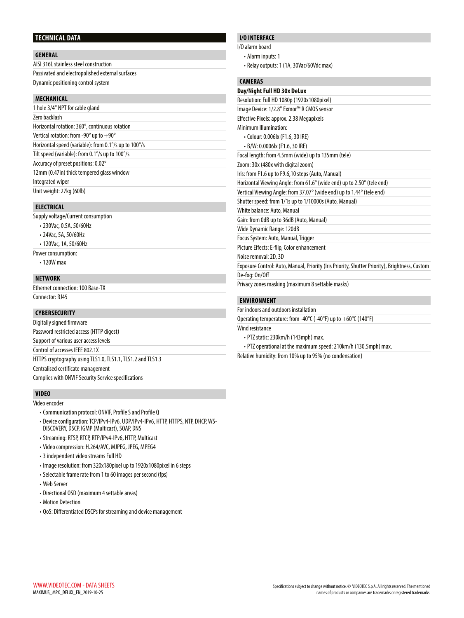#### **TECHNICAL DATA**

#### **GENERAL**

| AISI 316L stainless steel construction           |  |
|--------------------------------------------------|--|
| Passivated and electropolished external surfaces |  |
| Dynamic positioning control system               |  |

#### **MECHANICAL**

| 1 hole 3/4" NPT for cable gland                                     |
|---------------------------------------------------------------------|
| Zero backlash                                                       |
| Horizontal rotation: 360°, continuous rotation                      |
| Vertical rotation: from -90 $^{\circ}$ up to $+90^{\circ}$          |
| Horizontal speed (variable): from 0.1% up to 100%                   |
| Tilt speed (variable): from 0.1 $\degree$ /s up to 100 $\degree$ /s |
| Accuracy of preset positions: 0.02°                                 |
| 12mm (0.47in) thick tempered glass window                           |
| Integrated wiper                                                    |
| Unit weight: 27kg (60lb)                                            |

## **ELECTRICAL**

Supply voltage/Current consumption

- 230Vac, 0.5A, 50/60Hz
- 24Vac, 5A, 50/60Hz
- 120Vac, 1A, 50/60Hz
- Power consumption:
	- 120W max

#### **NETWORK**

Ethernet connection: 100 Base-TX Connector: RJ45

#### **CYBERSECURITY**

| Digitally signed firmware                                  |  |
|------------------------------------------------------------|--|
| Password restricted access (HTTP digest)                   |  |
| Support of various user access levels                      |  |
| Control of accesses IEEE 802.1X                            |  |
| HTTPS cryptography using TLS1.0, TLS1.1, TLS1.2 and TLS1.3 |  |
| Centralised certificate management                         |  |
| Complies with ONVIF Security Service specifications        |  |

#### **VIDEO**

Video encoder

- Communication protocol: ONVIF, Profile S and Profile Q
- Device configuration: TCP/IPv4-IPv6, UDP/IPv4-IPv6, HTTP, HTTPS, NTP, DHCP, WS-DISCOVERY, DSCP, IGMP (Multicast), SOAP, DNS
- Streaming: RTSP, RTCP, RTP/IPv4-IPv6, HTTP, Multicast
- Video compression: H.264/AVC, MJPEG, JPEG, MPEG4
- 3 independent video streams Full HD
- Image resolution: from 320x180pixel up to 1920x1080pixel in 6 steps
- Selectable frame rate from 1 to 60 images per second (fps)
- Web Server
- Directional OSD (maximum 4 settable areas)
- Motion Detection
- QoS: Differentiated DSCPs for streaming and device management

# **I/O INTERFACE**

- I/O alarm board
	- Alarm inputs: 1
	- Relay outputs: 1 (1A, 30Vac/60Vdc max)

#### **CAMERAS**

| Day/Night Full HD 30x DeLux                                                                    |
|------------------------------------------------------------------------------------------------|
| Resolution: Full HD 1080p (1920x1080pixel)                                                     |
| Image Device: 1/2.8" Exmor™ R CMOS sensor                                                      |
| Effective Pixels: approx. 2.38 Megapixels                                                      |
| Minimum Illumination:                                                                          |
| · Colour: 0.006lx (F1.6, 30 IRE)                                                               |
| · B/W: 0.0006lx (F1.6, 30 IRE)                                                                 |
| Focal length: from 4.5mm (wide) up to 135mm (tele)                                             |
| Zoom: 30x (480x with digital zoom)                                                             |
| Iris: from F1.6 up to F9.6,10 steps (Auto, Manual)                                             |
| Horizontal Viewing Angle: from 61.6° (wide end) up to 2.50° (tele end)                         |
| Vertical Viewing Angle: from 37.07° (wide end) up to 1.44° (tele end)                          |
| Shutter speed: from 1/1s up to 1/10000s (Auto, Manual)                                         |
| White balance: Auto, Manual                                                                    |
| Gain: from OdB up to 36dB (Auto, Manual)                                                       |
| Wide Dynamic Range: 120dB                                                                      |
| Focus System: Auto, Manual, Trigger                                                            |
| Picture Effects: E-flip, Color enhancement                                                     |
| Noise removal: 2D, 3D                                                                          |
| Exposure Control: Auto, Manual, Priority (Iris Priority, Shutter Priority), Brightness, Custom |
| De-fog: On/Off                                                                                 |
| Privacy zones masking (maximum 8 settable masks)                                               |

#### **ENVIRONMENT**

For indoors and outdoors installation

Operating temperature: from -40°C (-40°F) up to +60°C (140°F) Wind resistance

- 
- PTZ static: 230km/h (143mph) max.
- PTZ operational at the maximum speed: 210km/h (130.5mph) max.

Relative humidity: from 10% up to 95% (no condensation)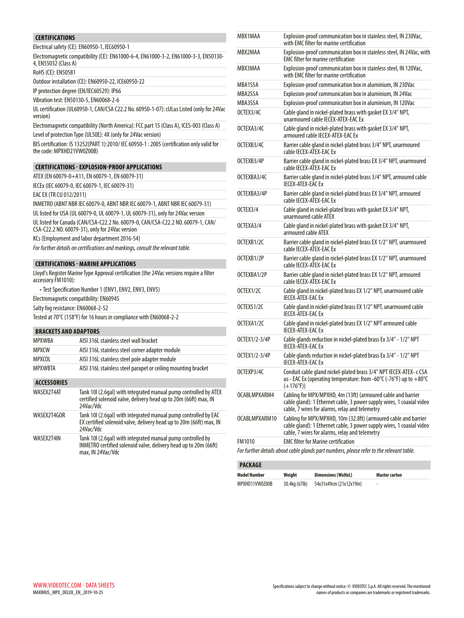| <b>CERTIFICATIONS</b>        |                                                                                                                                                     |
|------------------------------|-----------------------------------------------------------------------------------------------------------------------------------------------------|
|                              | Electrical safety (CE): EN60950-1, IEC60950-1                                                                                                       |
| 4, EN55032 (Class A)         | Electromagnetic compatibility (CE): EN61000-6-4, EN61000-3-2, EN61000-3-3, EN50130-                                                                 |
| RoHS (CE): EN50581           |                                                                                                                                                     |
|                              | Outdoor installation (CE): EN60950-22, ICE60950-22                                                                                                  |
|                              | IP protection degree (EN/IEC60529): IP66                                                                                                            |
|                              | Vibration test: EN50130-5, EN60068-2-6                                                                                                              |
| version)                     | UL certification (UL60950-1, CAN/CSA C22.2 No. 60950-1-07): cULus Listed (only for 24Vac                                                            |
|                              | Electromagnetic compatibility (North America): FCC part 15 (Class A), ICES-003 (Class A)                                                            |
|                              | Level of protection Type (UL50E): 4X (only for 24Vac version)                                                                                       |
| the code: MPXHD21VW0Z00B)    | BIS certification: IS 13252(PART 1):2010/ IEC 60950-1 : 2005 (certification only valid for                                                          |
|                              | <b>CERTIFICATIONS - EXPLOSION-PROOF APPLICATIONS</b>                                                                                                |
|                              | ATEX (EN 60079-0+A11, EN 60079-1, EN 60079-31)                                                                                                      |
|                              | IECEx (IEC 60079-0, IEC 60079-1, IEC 60079-31)                                                                                                      |
| EAC EX (TR CU 012/2011)      |                                                                                                                                                     |
|                              | INMETRO (ABNT NBR IEC 60079-0, ABNT NBR IEC 60079-1, ABNT NBR IEC 60079-31)                                                                         |
|                              | UL listed for USA (UL 60079-0, UL 60079-1, UL 60079-31), only for 24Vac version                                                                     |
|                              | UL listed for Canada (CAN/CSA-C22.2 No. 60079-0, CAN/CSA-C22.2 NO. 60079-1, CAN/<br>CSA-C22.2 NO. 60079-31), only for 24Vac version                 |
|                              | KCs (Employment and labor department 2016-54)                                                                                                       |
|                              | For further details on certifications and markings, consult the relevant table.                                                                     |
|                              | <b>CERTIFICATIONS - MARINE APPLICATIONS</b>                                                                                                         |
|                              | Lloyd's Register Marine Type Approval certification (the 24Vac versions require a filter                                                            |
| accessory FM1010):           |                                                                                                                                                     |
|                              | • Test Specification Number 1 (ENV1, ENV2, ENV3, ENV5)                                                                                              |
|                              | Electromagnetic compatibility: EN60945                                                                                                              |
|                              | Salty fog resistance: EN60068-2-52                                                                                                                  |
|                              | Tested at 70°C (158°F) for 16 hours in compliance with EN60068-2-2                                                                                  |
| <b>BRACKETS AND ADAPTORS</b> |                                                                                                                                                     |
| MPXWBA                       | AISI 316L stainless steel wall bracket                                                                                                              |
| <b>MPXCW</b>                 | AISI 316L stainless steel corner adapter module                                                                                                     |
| MPXCOL                       | AISI 316L stainless steel pole adapter module                                                                                                       |
| <b>MPXWBTA</b>               | AISI 316L stainless steel parapet or ceiling mounting bracket                                                                                       |
| <b>ACCESSORIES</b>           |                                                                                                                                                     |
| WASEX2T4AT                   | Tank 10I (2.6gal) with integrated manual pump controlled by ATEX<br>certified solenoid valve, delivery head up to 20m (66ft) max, IN<br>24Vac/Vdc   |
| WASEX2T4GOR                  | Tank 10I (2.6gal) with integrated manual pump controlled by EAC<br>EX certified solenoid valve, delivery head up to 20m (66ft) max, IN<br>24Vac/Vdc |
| WASEX2T4IN                   | Tank 10 (2.6gal) with integrated manual pump controlled by<br>INMETRO certified solenoid valve, delivery head up to 20m (66ft)<br>max, IN 24Vac/Vdc |

| MBX1MAA       | Explosion-proof communication box in stainless steel, IN 230Vac,<br>with EMC filter for marine certification                                                                               |
|---------------|--------------------------------------------------------------------------------------------------------------------------------------------------------------------------------------------|
| MBX2MAA       | Explosion-proof communication box in stainless steel, IN 24Vac, with<br><b>EMC filter for marine certification</b>                                                                         |
| MBX3MAA       | Explosion-proof communication box in stainless steel, IN 120Vac,<br>with EMC filter for marine certification                                                                               |
| MBA1S5A       | Explosion-proof communication box in aluminium, IN 230Vac                                                                                                                                  |
| MBA2S5A       | Explosion-proof communication box in aluminium, IN 24Vac                                                                                                                                   |
| MBA3S5A       | Explosion-proof communication box in aluminium, IN 120Vac                                                                                                                                  |
| OCTEX3/4C     | Cable gland in nickel-plated brass with gasket EX 3/4" NPT,<br>unarmoured cable IECEX-ATEX-EAC Ex                                                                                          |
| OCTEXA3/4C    | Cable gland in nickel-plated brass with gasket EX 3/4" NPT,<br>armoured cable IECEX-ATEX-EAC Ex                                                                                            |
| OCTEXB3/4C    | Barrier cable gland in nickel-plated brass 3/4" NPT, unarmoured<br>cable IECEX-ATEX-EAC Ex                                                                                                 |
| OCTEXB3/4P    | Barrier cable gland in nickel-plated brass EX 3/4" NPT, unarmoured<br>cable IECEX-ATEX-EAC Ex                                                                                              |
| OCTEXBA3/4C   | Barrier cable gland in nickel-plated brass 3/4" NPT, armoured cable<br><b>IECEX-ATEX-EAC Ex</b>                                                                                            |
| OCTEXBA3/4P   | Barrier cable gland in nickel-plated brass EX 3/4" NPT, armoured<br>cable IECEX-ATEX-EAC Ex                                                                                                |
| OCTEX3/4      | Cable gland in nickel-plated brass with gasket EX 3/4" NPT,<br>unarmoured cable ATEX                                                                                                       |
| OCTEXA3/4     | Cable gland in nickel-plated brass with gasket EX 3/4" NPT,<br>armoured cable ATEX                                                                                                         |
| OCTEXB1/2C    | Barrier cable gland in nickel-plated brass EX 1/2" NPT, unarmoured<br>cable IECEX-ATEX-EAC Ex                                                                                              |
| OCTEXB1/2P    | Barrier cable gland in nickel-plated brass EX 1/2" NPT, unarmoured<br>cable IECEX-ATEX-EAC Ex                                                                                              |
| OCTEXBA1/2P   | Barrier cable gland in nickel-plated brass EX 1/2" NPT, armoured<br>cable IECEX-ATEX-EAC Ex                                                                                                |
| OCTEX1/2C     | Cable gland in nickel-plated brass EX 1/2" NPT, unarmoured cable<br>IFCFX-ATFX-FAC Fx                                                                                                      |
| OCTEXS1/2C    | Cable gland in nickel-plated brass EX 1/2" NPT, unarmoured cable<br><b>IECEX-ATEX-EAC Ex</b>                                                                                               |
| OCTEXA1/2C    | Cable gland in nickel-plated brass EX 1/2" NPT armoured cable<br><b>IECEX-ATEX-EAC Ex</b>                                                                                                  |
| OCTEX1/2-3/4P | Cable glands reduction in nickel-plated brass Ex 3/4" - 1/2" NPT<br><b>IFCFX-ATFX-FACFx</b>                                                                                                |
| OCTEX1/2-3/4P | Cable glands reduction in nickel-plated brass Ex 3/4" - 1/2" NPT<br>IECEX-ATEX-EAC Ex                                                                                                      |
| OCTEXP3/4C    | Conduit cable gland nickel-plated brass 3/4" NPT IECEX-ATEX- c CSA<br>us - EAC Ex (operating temperature: from -60°C (-76°F) up to +80°C<br>$(+176°F))$                                    |
| OCABLMPXARM4  | Cabling for MPX/MPXHD, 4m (13ft) (armoured cable and barrier<br>cable gland): 1 Ethernet cable, 3 power supply wires, 1 coaxial video<br>cable, 7 wires for alarms, relay and telemetry    |
| OCABLMPXARM10 | Cabling for MPX/MPXHD, 10m (32.8ft) (armoured cable and barrier<br>cable gland): 1 Ethernet cable, 3 power supply wires, 1 coaxial video<br>cable, 7 wires for alarms, relay and telemetry |
| <b>FM1010</b> | <b>EMC filter for Marine certification</b>                                                                                                                                                 |
|               | For further details about cable glands part numbers, please refer to the relevant table.                                                                                                   |

### **PACKAGE**

| Model Number<br>Weight |               | Dimensions (WxHxL)      | Master carton |  |  |  |
|------------------------|---------------|-------------------------|---------------|--|--|--|
| MPXHD11VW0Z00B         | 30.4kg (67lb) | 54x31x49cm (21x12x19in) | -             |  |  |  |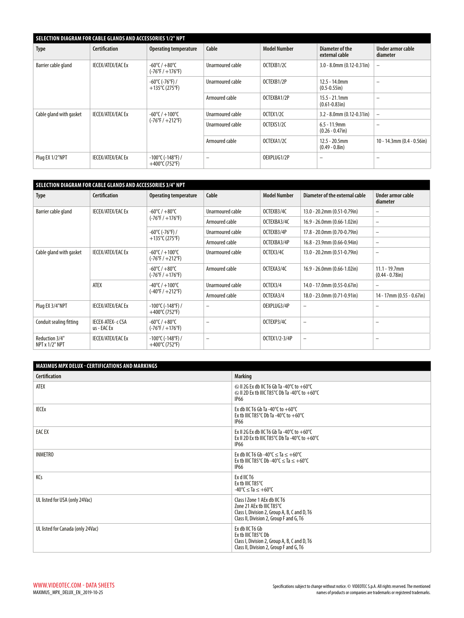| SELECTION DIAGRAM FOR CABLE GLANDS AND ACCESSORIES 1/2" NPT |                          |                                                                       |                          |                     |                                        |                               |  |  |  |
|-------------------------------------------------------------|--------------------------|-----------------------------------------------------------------------|--------------------------|---------------------|----------------------------------------|-------------------------------|--|--|--|
| <b>Type</b>                                                 | <b>Certification</b>     | <b>Operating temperature</b>                                          | Cable                    | <b>Model Number</b> | Diameter of the<br>external cable      | Under armor cable<br>diameter |  |  |  |
| Barrier cable gland                                         | <b>IECEX/ATEX/EAC Ex</b> | $-60^{\circ}$ C / $+80^{\circ}$ C<br>$(-76^{\circ}F/ + 176^{\circ}F)$ | Unarmoured cable         | OCTEXB1/2C          | $3.0 - 8.0$ mm $(0.12 - 0.31$ in       |                               |  |  |  |
|                                                             |                          | -60°C (-76°F) /<br>$+135^{\circ}$ C (275°F)                           | Unarmoured cable         | OCTEXB1/2P          | $12.5 - 14.0$ mm<br>$(0.5 - 0.55)$ in) |                               |  |  |  |
|                                                             |                          |                                                                       | Armoured cable           | OCTEXBA1/2P         | $15.5 - 21.1$ mm<br>$(0.61 - 0.83)$ in |                               |  |  |  |
| Cable gland with gasket                                     | <b>IECEX/ATEX/EAC Ex</b> | $-60^{\circ}$ C / $+100^{\circ}$ C                                    | Unarmoured cable         | OCTEX1/2C           | $3.2 - 8.0$ mm $(0.12 - 0.31$ in       | -                             |  |  |  |
|                                                             |                          | $(-76^{\circ}F / +212^{\circ}F)$                                      | Unarmoured cable         | OCTEXS1/2C          | $6.5 - 11.9$ mm<br>$(0.26 - 0.47)$ in) |                               |  |  |  |
|                                                             |                          |                                                                       | Armoured cable           | OCTEXA1/2C          | $12.5 - 20.5$ mm<br>$(0.49 - 0.8)$ in) | $10 - 14.3$ mm (0.4 - 0.56in) |  |  |  |
| Plug EX 1/2"NPT                                             | <b>IECEX/ATEX/EAC Ex</b> | $-100^{\circ}$ C (-148°F) /<br>$+400^{\circ}$ C (752°F)               | $\overline{\phantom{0}}$ | OEXPLUG1/2P         | -                                      |                               |  |  |  |

| SELECTION DIAGRAM FOR CABLE GLANDS AND ACCESSORIES 3/4" NPT |                                         |                                                                        |                          |                                |                                     |                                        |  |  |  |
|-------------------------------------------------------------|-----------------------------------------|------------------------------------------------------------------------|--------------------------|--------------------------------|-------------------------------------|----------------------------------------|--|--|--|
| <b>Type</b>                                                 | <b>Certification</b>                    | Cable<br><b>Model Number</b><br><b>Operating temperature</b>           |                          | Diameter of the external cable | Under armor cable<br>diameter       |                                        |  |  |  |
| Barrier cable gland                                         | <b>IECEX/ATEX/EAC Ex</b>                | -60°C / +80°C                                                          | Unarmoured cable         | OCTEXB3/4C                     | 13.0 - 20.2mm (0.51-0.79in)         | $\qquad \qquad -$                      |  |  |  |
|                                                             |                                         | $(-76^{\circ}F / +176^{\circ}F)$                                       | Armoured cable           | OCTEXBA3/4C                    | $16.9 - 26.0$ mm (0.66-1.02in)      | $\overline{\phantom{m}}$               |  |  |  |
|                                                             |                                         | -60°C (-76°F) /                                                        | Unarmoured cable         | OCTEXB3/4P                     | $17.8 - 20.0$ mm (0.70-0.79in)      | $\qquad \qquad -$                      |  |  |  |
|                                                             |                                         | +135°C (275°F)                                                         | Armoured cable           | OCTEXBA3/4P                    | $16.8 - 23.9$ mm (0.66-0.94in)      | $\qquad \qquad -$                      |  |  |  |
| Cable gland with gasket                                     | <b>IECEX/ATEX/EAC Ex</b>                | $-60^{\circ}$ C / $+100^{\circ}$ C<br>$(-76^{\circ}F / +212^{\circ}F)$ | Unarmoured cable         | OCTEX3/4C                      | 13.0 - 20.2mm (0.51-0.79in)         | $\overline{\phantom{0}}$               |  |  |  |
|                                                             |                                         | -60°C / +80°C<br>$(-76°F/ + 176°F)$                                    | Armoured cable           | OCTEXA3/4C                     | $16.9 - 26.0$ mm $(0.66 - 1.02$ in) | $11.1 - 19.7$ mm<br>$(0.44 - 0.78$ in) |  |  |  |
|                                                             | ATEX                                    | $-40^{\circ}$ C / $+100^{\circ}$ C                                     | Unarmoured cable         | OCTEX3/4                       | 14.0 - 17.0mm (0.55-0.67in)         | $\qquad \qquad -$                      |  |  |  |
|                                                             |                                         | $(-40^{\circ}F / +212^{\circ}F)$                                       | Armoured cable           | OCTEXA3/4                      | 18.0 - 23.0mm (0.71-0.91in)         | 14 - 17mm (0.55 - 0.67in)              |  |  |  |
| Plug EX 3/4"NPT                                             | <b>IECEX/ATEX/EAC Ex</b>                | $-100^{\circ}$ C ( $-148^{\circ}$ F) /<br>$+400^{\circ}$ C (752°F)     | $\qquad \qquad -$        | OEXPLUG3/4P                    | -                                   | $\qquad \qquad -$                      |  |  |  |
| Conduit sealing fitting                                     | <b>IECEX-ATEX- c CSA</b><br>us - EAC Ex | $-60^{\circ}$ C / $+80^{\circ}$ C<br>$(-76^{\circ}F / +176^{\circ}F)$  | $\overline{\phantom{0}}$ | OCTEXP3/4C                     | $\overline{\phantom{0}}$            | $\overline{\phantom{0}}$               |  |  |  |
| Reduction 3/4"<br>NPT x 1/2" NPT                            | <b>IECEX/ATEX/EAC Ex</b>                | $-100^{\circ}$ C (-148°F) /<br>+400°C (752°F)                          |                          | OCTEX1/2-3/4P                  | $\overline{\phantom{0}}$            |                                        |  |  |  |

| <b>MAXIMUS MPX DELUX - CERTIFICATIONS AND MARKINGS</b> |                                                                                                                                                      |
|--------------------------------------------------------|------------------------------------------------------------------------------------------------------------------------------------------------------|
| <b>Certification</b>                                   | <b>Marking</b>                                                                                                                                       |
| <b>ATEX</b>                                            | $\circledcirc$ II 2G Ex db IIC T6 Gb Ta -40°C to +60°C<br>$\otimes$ II 2D Ex tb IIIC T85°C Db Ta -40°C to +60°C<br><b>IP66</b>                       |
| <b>IECEX</b>                                           | Ex db IIC T6 Gb Ta -40 $^{\circ}$ C to +60 $^{\circ}$ C<br>Ex tb IIIC T85°C Db Ta -40°C to $+60^{\circ}$ C<br><b>IP66</b>                            |
| <b>EACEX</b>                                           | Ex II 2G Ex db IIC T6 Gb Ta -40°C to $+60^{\circ}$ C<br>Ex II 2D Ex tb IIIC T85°C Db Ta -40°C to $+60^{\circ}$ C<br><b>IP66</b>                      |
| <b>INMETRO</b>                                         | Ex db IIC T6 Gb -40°C $\leq$ Ta $\leq$ +60°C<br>Ex tb IIIC T85°C Db -40°C $\leq$ Ta $\leq$ +60°C<br><b>IP66</b>                                      |
| KCs                                                    | Ex d IIC T6<br>Ex tb IIIC T85°C<br>$-40^{\circ}$ C $<$ Ta $< +60^{\circ}$ C                                                                          |
| UL listed for USA (only 24Vac)                         | Class I Zone 1 AEx db IIC T6<br>Zone 21 AEx tb IIIC T85°C<br>Class I, Division 2, Group A, B, C and D, T6<br>Class II, Division 2, Group F and G, T6 |
| UL listed for Canada (only 24Vac)                      | Ex db IIC T6 Gb<br>Ex tb IIIC T85°C Db<br>Class I, Division 2, Group A, B, C and D, T6<br>Class II, Division 2, Group F and G, T6                    |